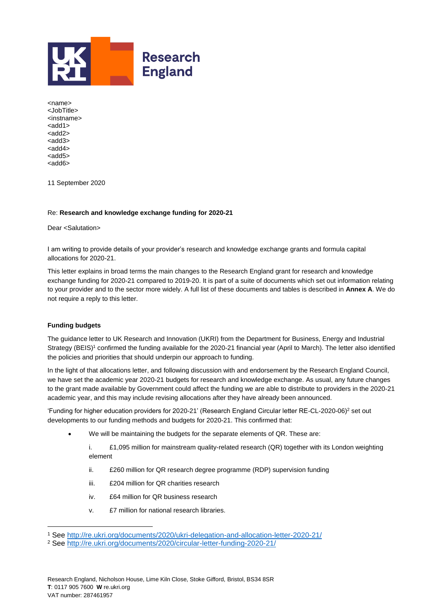

<name> <JobTitle> <instname>  $<$ add1 $>$ <add2> <add3> <add4> <add5> <add6>

11 September 2020

## Re: **Research and knowledge exchange funding for 2020-21**

Dear <Salutation>

I am writing to provide details of your provider's research and knowledge exchange grants and formula capital allocations for 2020-21.

This letter explains in broad terms the main changes to the Research England grant for research and knowledge exchange funding for 2020-21 compared to 2019-20. It is part of a suite of documents which set out information relating to your provider and to the sector more widely. A full list of these documents and tables is described in **Annex A**. We do not require a reply to this letter.

## **Funding budgets**

l

The guidance letter to UK Research and Innovation (UKRI) from the Department for Business, Energy and Industrial Strategy (BEIS)<sup>1</sup> confirmed the funding available for the 2020-21 financial year (April to March). The letter also identified the policies and priorities that should underpin our approach to funding.

In the light of that allocations letter, and following discussion with and endorsement by the Research England Council, we have set the academic year 2020-21 budgets for research and knowledge exchange. As usual, any future changes to the grant made available by Government could affect the funding we are able to distribute to providers in the 2020-21 academic year, and this may include revising allocations after they have already been announced.

'Funding for higher education providers for 2020-21' (Research England Circular letter RE-CL-2020-06) <sup>2</sup> set out developments to our funding methods and budgets for 2020-21. This confirmed that:

We will be maintaining the budgets for the separate elements of QR. These are:

i. £1,095 million for mainstream quality-related research (QR) together with its London weighting element

- ii. £260 million for QR research degree programme (RDP) supervision funding
- iii. £204 million for QR charities research
- iv. £64 million for QR business research
- v. £7 million for national research libraries.

<sup>1</sup> See<http://re.ukri.org/documents/2020/ukri-delegation-and-allocation-letter-2020-21/>

<sup>2</sup> See<http://re.ukri.org/documents/2020/circular-letter-funding-2020-21/>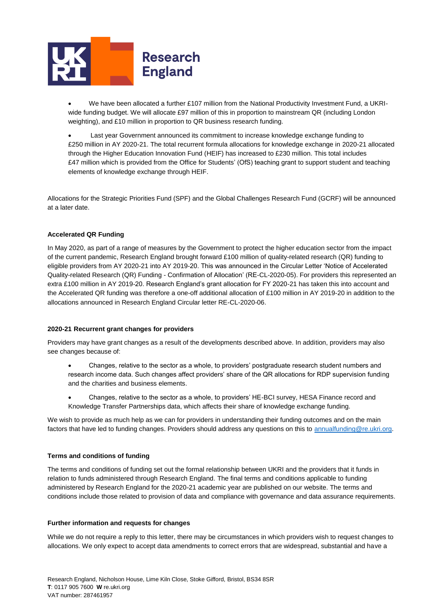

- We have been allocated a further £107 million from the National Productivity Investment Fund, a UKRIwide funding budget. We will allocate £97 million of this in proportion to mainstream QR (including London weighting), and £10 million in proportion to QR business research funding.
- Last year Government announced its commitment to increase knowledge exchange funding to £250 million in AY 2020-21. The total recurrent formula allocations for knowledge exchange in 2020-21 allocated through the Higher Education Innovation Fund (HEIF) has increased to £230 million. This total includes £47 million which is provided from the Office for Students' (OfS) teaching grant to support student and teaching elements of knowledge exchange through HEIF.

Allocations for the Strategic Priorities Fund (SPF) and the Global Challenges Research Fund (GCRF) will be announced at a later date.

## **Accelerated QR Funding**

In May 2020, as part of a range of measures by the Government to protect the higher education sector from the impact of the current pandemic, Research England brought forward £100 million of quality-related research (QR) funding to eligible providers from AY 2020-21 into AY 2019-20. This was announced in the Circular Letter 'Notice of Accelerated Quality-related Research (QR) Funding - Confirmation of Allocation' (RE-CL-2020-05). For providers this represented an extra £100 million in AY 2019-20. Research England's grant allocation for FY 2020-21 has taken this into account and the Accelerated QR funding was therefore a one-off additional allocation of £100 million in AY 2019-20 in addition to the allocations announced in Research England Circular letter RE-CL-2020-06.

## **2020-21 Recurrent grant changes for providers**

Providers may have grant changes as a result of the developments described above. In addition, providers may also see changes because of:

- Changes, relative to the sector as a whole, to providers' postgraduate research student numbers and research income data. Such changes affect providers' share of the QR allocations for RDP supervision funding and the charities and business elements.
- Changes, relative to the sector as a whole, to providers' HE-BCI survey, HESA Finance record and Knowledge Transfer Partnerships data, which affects their share of knowledge exchange funding.

We wish to provide as much help as we can for providers in understanding their funding outcomes and on the main factors that have led to funding changes. Providers should address any questions on this to [annualfunding@re.ukri.org.](mailto:annualfunding@re.ukri.org)

## **Terms and conditions of funding**

The terms and conditions of funding set out the formal relationship between UKRI and the providers that it funds in relation to funds administered through Research England. The final terms and conditions applicable to funding administered by Research England for the 2020-21 academic year are published on our website. The terms and conditions include those related to provision of data and compliance with governance and data assurance requirements.

## **Further information and requests for changes**

While we do not require a reply to this letter, there may be circumstances in which providers wish to request changes to allocations. We only expect to accept data amendments to correct errors that are widespread, substantial and have a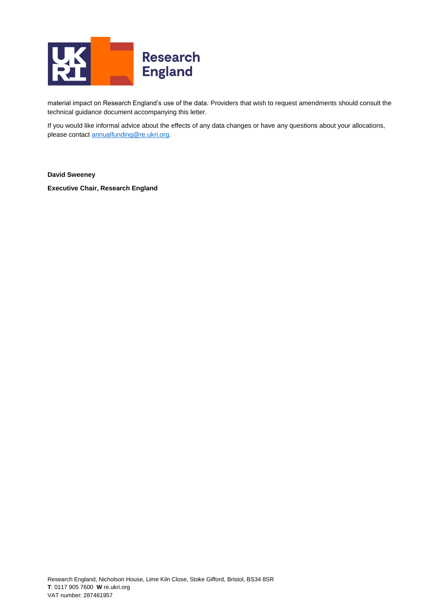

material impact on Research England's use of the data. Providers that wish to request amendments should consult the technical guidance document accompanying this letter.

If you would like informal advice about the effects of any data changes or have any questions about your allocations, please contac[t annualfunding@re.ukri.org.](mailto:annualfunding@re.ukri.org)

**David Sweeney**

**Executive Chair, Research England**